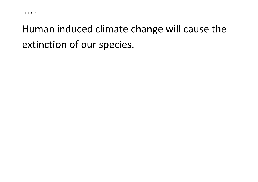## Human induced climate change will cause the extinction of our species.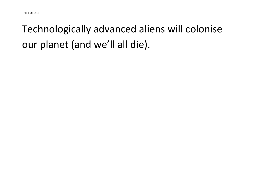## Technologically advanced aliens will colonise our planet (and we'll all die).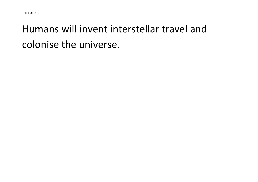#### Humans will invent interstellar travel and colonise the universe.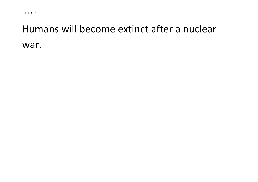#### Humans will become extinct after a nuclear war.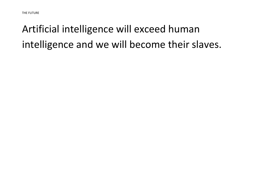## Artificial intelligence will exceed human intelligence and we will become their slaves.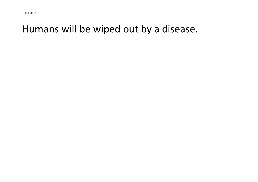#### Humans will be wiped out by a disease.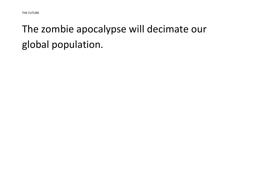#### The zombie apocalypse will decimate our global population.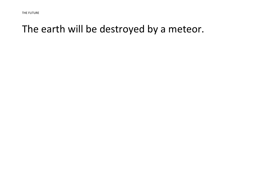#### The earth will be destroyed by a meteor.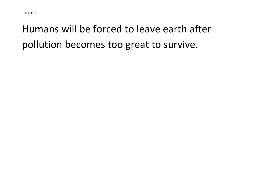## Humans will be forced to leave earth after pollution becomes too great to survive.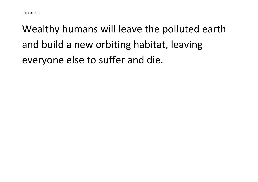# Wealthy humans will leave the polluted earth and build a new orbiting habitat, leaving everyone else to suffer and die.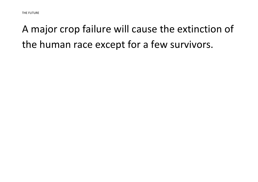## A major crop failure will cause the extinction of the human race except for a few survivors.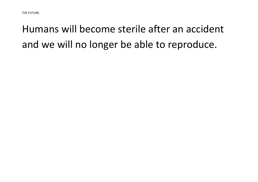## Humans will become sterile after an accident and we will no longer be able to reproduce.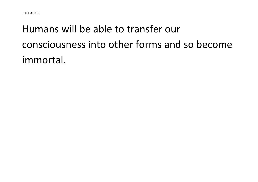# Humans will be able to transfer our consciousness into other forms and so become immortal.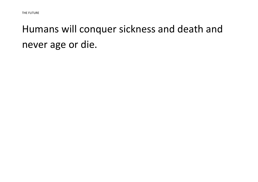#### Humans will conquer sickness and death and never age or die.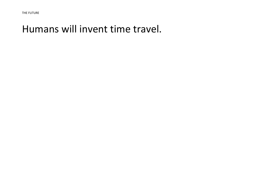#### Humans will invent time travel.